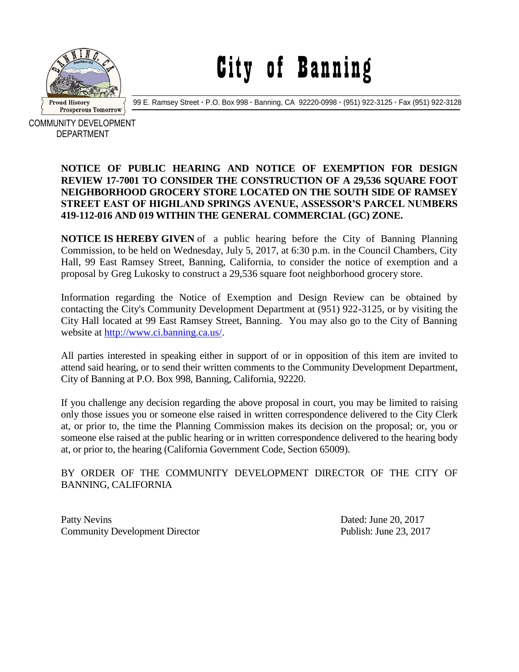

## City of Banning

99 E. Ramsey Street **·** P.O. Box 998 **·** Banning, CA 92220-0998 **·** (951) 922-3125 **·** Fax (951) 922-3128

COMMUNITY DEVELOPMENT DEPARTMENT

## **NOTICE OF PUBLIC HEARING AND NOTICE OF EXEMPTION FOR DESIGN REVIEW 17-7001 TO CONSIDER THE CONSTRUCTION OF A 29,536 SQUARE FOOT NEIGHBORHOOD GROCERY STORE LOCATED ON THE SOUTH SIDE OF RAMSEY STREET EAST OF HIGHLAND SPRINGS AVENUE, ASSESSOR'S PARCEL NUMBERS 419-112-016 AND 019 WITHIN THE GENERAL COMMERCIAL (GC) ZONE.**

**NOTICE IS HEREBY GIVEN** of a public hearing before the City of Banning Planning Commission, to be held on Wednesday, July 5, 2017, at 6:30 p.m. in the Council Chambers, City Hall, 99 East Ramsey Street, Banning, California, to consider the notice of exemption and a proposal by Greg Lukosky to construct a 29,536 square foot neighborhood grocery store.

Information regarding the Notice of Exemption and Design Review can be obtained by contacting the City's Community Development Department at (951) 922-3125, or by visiting the City Hall located at 99 East Ramsey Street, Banning. You may also go to the City of Banning website at [http://www.ci.banning.ca.us/.](http://www.ci.banning.ca.us/)

All parties interested in speaking either in support of or in opposition of this item are invited to attend said hearing, or to send their written comments to the Community Development Department, City of Banning at P.O. Box 998, Banning, California, 92220.

If you challenge any decision regarding the above proposal in court, you may be limited to raising only those issues you or someone else raised in written correspondence delivered to the City Clerk at, or prior to, the time the Planning Commission makes its decision on the proposal; or, you or someone else raised at the public hearing or in written correspondence delivered to the hearing body at, or prior to, the hearing (California Government Code, Section 65009).

## BY ORDER OF THE COMMUNITY DEVELOPMENT DIRECTOR OF THE CITY OF BANNING, CALIFORNIA

Patty Nevins Dated: June 20, 2017 Community Development Director Publish: June 23, 2017